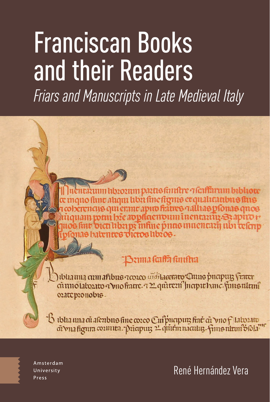# Franciscan Books and their Readers

*Friars and Manuscripts in Late Medieval Italy*

n hbrorum partisfinnfur ๆ faiffarum bibliote quo fime ahqui hbn fine figme et quahta thus fins ncus qui emme apud fiatres galluas pfonas quos ponu bže apphaenoum i nentanux-S3 apiro r ar bicu liba ps înfine prius inuentuaj ubi telo 1138 baben tes victos libros.

## Benna fortha funtha

) iblianna cum afibus acoreo aïdi<del>lacemeo C</del>ums pricipuis f<del>inter</del><br>cũ uno laborato a vno fintre, a 22 quitteri<sup>o</sup> finepit banc, finis tilitmî oratepronobis.

B ibha una di afenbus fine coreo Cui putipur fine di vno flatorato

Amsterdam University Press

René Hernández Vera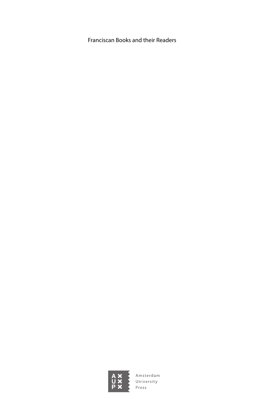Franciscan Books and their Readers

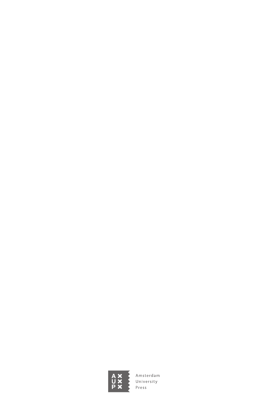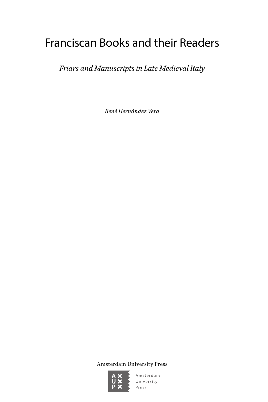# Franciscan Books and their Readers

*Friars and Manuscripts in Late Medieval Italy*

*René Hernández Vera*

Amsterdam University Press

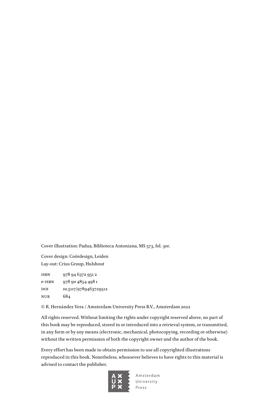Cover illustration: Padua, Biblioteca Antoniana, MS 573, fol. 30r.

Cover design: Coördesign, Leiden Lay-out: Crius Group, Hulshout

isbn 978 94 6372 951 2 e-isbn 978 90 4854 498 1 DOI 10.5117/9789463729512 nur 684

© R. Hernández Vera / Amsterdam University Press B.V., Amsterdam 2022

All rights reserved. Without limiting the rights under copyright reserved above, no part of this book may be reproduced, stored in or introduced into a retrieval system, or transmitted, in any form or by any means (electronic, mechanical, photocopying, recording or otherwise) without the written permission of both the copyright owner and the author of the book.

Every effort has been made to obtain permission to use all copyrighted illustrations reproduced in this book. Nonetheless, whosoever believes to have rights to this material is advised to contact the publisher.

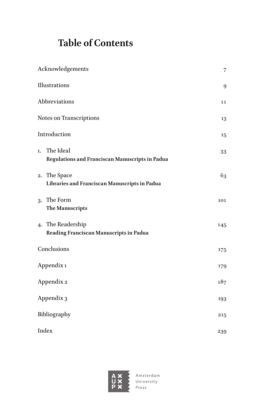# **Table of Contents**

| Acknowledgements |                                                               |     |  |
|------------------|---------------------------------------------------------------|-----|--|
| Illustrations    |                                                               |     |  |
|                  | Abbreviations<br>11                                           |     |  |
|                  | Notes on Transcriptions                                       |     |  |
| Introduction     |                                                               |     |  |
| 1.               | The Ideal<br>Regulations and Franciscan Manuscripts in Padua  | 33  |  |
|                  | 2. The Space<br>Libraries and Franciscan Manuscripts in Padua | 63  |  |
|                  | 3. The Form<br><b>The Manuscripts</b>                         | 101 |  |
|                  | 4. The Readership<br>Reading Franciscan Manuscripts in Padua  | 145 |  |
| Conclusions      |                                                               | 175 |  |
| Appendix 1       |                                                               | 179 |  |
| Appendix 2       |                                                               | 187 |  |
| Appendix 3       |                                                               | 193 |  |
| Bibliography     |                                                               |     |  |
| Index<br>239     |                                                               |     |  |

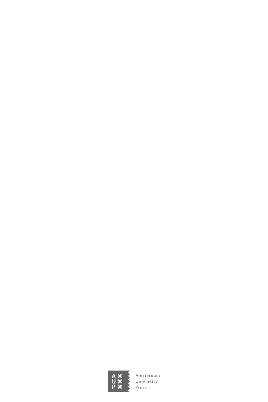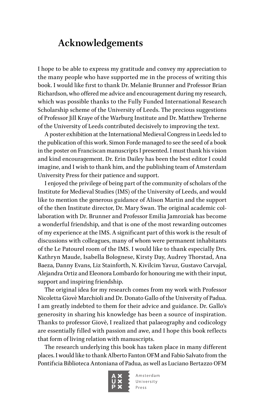## <span id="page-7-0"></span>**Acknowledgements**

I hope to be able to express my gratitude and convey my appreciation to the many people who have supported me in the process of writing this book. I would like first to thank Dr. Melanie Brunner and Professor Brian Richardson, who offered me advice and encouragement during my research, which was possible thanks to the Fully Funded International Research Scholarship scheme of the University of Leeds. The precious suggestions of Professor Jill Kraye of the Warburg Institute and Dr. Matthew Treherne of the University of Leeds contributed decisively to improving the text.

A poster exhibition at the International Medieval Congress in Leeds led to the publication of this work. Simon Forde managed to see the seed of a book in the poster on Franciscan manuscripts I presented. I must thank his vision and kind encouragement. Dr. Erin Dailey has been the best editor I could imagine, and I wish to thank him, and the publishing team of Amsterdam University Press for their patience and support.

I enjoyed the privilege of being part of the community of scholars of the Institute for Medieval Studies (IMS) of the University of Leeds, and would like to mention the generous guidance of Alison Martin and the support of the then Institute director, Dr. Mary Swan. The original academic collaboration with Dr. Brunner and Professor Emilia Jamroziak has become a wonderful friendship, and that is one of the most rewarding outcomes of my experience at the IMS. A significant part of this work is the result of discussions with colleagues, many of whom were permanent inhabitants of the Le Patourel room of the IMS. I would like to thank especially Drs. Kathryn Maude, Isabella Bolognese, Kirsty Day, Audrey Thorstad, Ana Baeza, Danny Evans, Liz Stainforth, N. Kivilcim Yavuz, Gustavo Carvajal, Alejandra Ortiz and Eleonora Lombardo for honouring me with their input, support and inspiring friendship.

The original idea for my research comes from my work with Professor Nicoletta Giovè Marchioli and Dr. Donato Gallo of the University of Padua. I am greatly indebted to them for their advice and guidance. Dr. Gallo's generosity in sharing his knowledge has been a source of inspiration. Thanks to professor Giovè, I realized that palaeography and codicology are essentially filled with passion and awe, and I hope this book reflects that form of living relation with manuscripts.

The research underlying this book has taken place in many different places. I would like to thank Alberto Fanton OFM and Fabio Salvato from the Pontificia Biblioteca Antoniana of Padua, as well as Luciano Bertazzo OFM

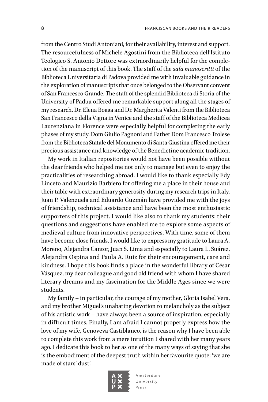from the Centro Studi Antoniani, for their availability, interest and support. The resourcefulness of Michele Agostini from the Biblioteca dell'Istituto Teologico S. Antonio Dottore was extraordinarily helpful for the completion of the manuscript of this book. The staff of the *sala manoscritti* of the Biblioteca Universitaria di Padova provided me with invaluable guidance in the exploration of manuscripts that once belonged to the Observant convent of San Francesco Grande. The staff of the splendid Biblioteca di Storia of the University of Padua offered me remarkable support along all the stages of my research. Dr. Elena Boaga and Dr. Margherita Valenti from the Biblioteca San Francesco della Vigna in Venice and the staff of the Biblioteca Medicea Laurenziana in Florence were especially helpful for completing the early phases of my study. Dom Giulio Pagnoni and Father Dom Francesco Trolese from the Biblioteca Statale del Monumento di Santa Giustina offered me their precious assistance and knowledge of the Benedictine academic tradition.

My work in Italian repositories would not have been possible without the dear friends who helped me not only to manage but even to enjoy the practicalities of researching abroad. I would like to thank especially Edy Linceto and Maurizio Barbiero for offering me a place in their house and their table with extraordinary generosity during my research trips in Italy. Juan P. Valenzuela and Eduardo Guzmán have provided me with the joys of friendship, technical assistance and have been the most enthusiastic supporters of this project. I would like also to thank my students: their questions and suggestions have enabled me to explore some aspects of medieval culture from innovative perspectives. With time, some of them have become close friends. I would like to express my gratitude to Laura A. Moreno, Alejandra Cantor, Juan S. Lima and especially to Laura L. Suárez, Alejandra Ospina and Paula A. Ruiz for their encouragement, care and kindness. I hope this book finds a place in the wonderful library of César Vásquez, my dear colleague and good old friend with whom I have shared literary dreams and my fascination for the Middle Ages since we were students.

My family – in particular, the courage of my mother, Gloria Isabel Vera, and my brother Miguel's unabating devotion to melancholy as the subject of his artistic work – have always been a source of inspiration, especially in difficult times. Finally, I am afraid I cannot properly express how the love of my wife, Genoveva Castiblanco, is the reason why I have been able to complete this work from a mere intuition I shared with her many years ago. I dedicate this book to her as one of the many ways of saying that she is the embodiment of the deepest truth within her favourite quote: 'we are made of stars' dust'.

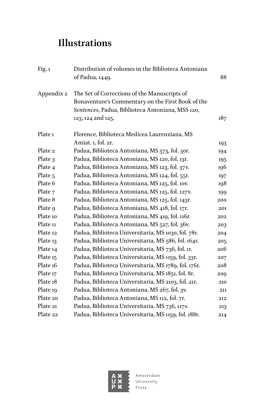## <span id="page-9-0"></span>**Illustrations**

| Fig. 1             | Distribution of volumes in the Biblioteca Antoniana<br>of Padua, 1449. | 88  |
|--------------------|------------------------------------------------------------------------|-----|
| Appendix 2         | The Set of Corrections of the Manuscripts of                           |     |
|                    | Bonaventure's Commentary on the First Book of the                      |     |
|                    | Sentences, Padua, Biblioteca Antoniana, MSS 120,                       |     |
|                    | 123, 124 and 125.                                                      | 187 |
| Plate <sub>1</sub> | Florence, Biblioteca Medicea Laurenziana, MS                           |     |
|                    | Amiat. 1, fol. 2r.                                                     | 193 |
| Plate 2            | Padua, Biblioteca Antoniana, MS 573, fol. 30r.                         | 194 |
| Plate 3            | Padua, Biblioteca Antoniana, MS 120, fol. 13r.                         | 195 |
| Plate 4            | Padua, Biblioteca Antoniana, MS 123, fol. 37v.                         | 196 |
| Plate <sub>5</sub> | Padua, Biblioteca Antoniana, MS 124, fol. 55r.                         | 197 |
| Plate 6            | Padua, Biblioteca Antoniana, MS 125, fol. 10v.                         | 198 |
| Plate 7            | Padua, Biblioteca Antoniana, MS 125, fol. 127v.                        | 199 |
| Plate 8            | Padua, Biblioteca Antoniana, MS 125, fol. 143r.                        | 200 |
| Plate 9            | Padua, Biblioteca Antoniana, MS 418, fol. 171.                         | 201 |
| Plate 10           | Padua, Biblioteca Antoniana, MS 419, fol. 116r.                        | 202 |
| Plate 11           | Padua, Biblioteca Antoniana, MS 527, fol. 36v.                         | 203 |
| Plate 12           | Padua, Biblioteca Universitaria, MS 1030, fol. 78r.                    | 204 |
| Plate 13           | Padua, Biblioteca Universitaria, MS 586, fol. 164r.                    | 205 |
| Plate 14           | Padua, Biblioteca Universitaria, MS 736, fol. 1r.                      | 206 |
| Plate 15           | Padua, Biblioteca Universitaria, MS 1159, fol. 33r.                    | 207 |
| Plate 16           | Padua, Biblioteca Universitaria, MS 1789, fol. 176r.                   | 208 |
| Plate 17           | Padua, Biblioteca Universitaria, MS 1851, fol. 8r.                     | 209 |
| Plate 18           | Padua, Biblioteca Universitaria, MS 2103, fol. 21r.                    | 210 |
| Plate 19           | Padua, Biblioteca Antoniana, MS 267, fol. 3v.                          | 211 |
| Plate 20           | Padua, Biblioteca Antoniana, MS 112, fol. 7r.                          | 212 |
| Plate 21           | Padua, Biblioteca Universitaria, MS 736, 117V.                         | 213 |
| Plate 22           | Padua, Biblioteca Universitaria, MS 1159, fol. 188r.                   | 214 |

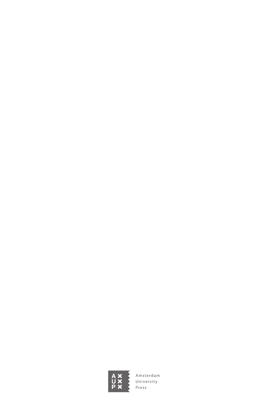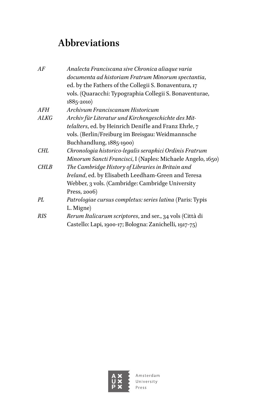# <span id="page-11-0"></span>**Abbreviations**

| AF          | Analecta Franciscana sive Chronica aliaque varia            |
|-------------|-------------------------------------------------------------|
|             | documenta ad historiam Fratrum Minorum spectantia,          |
|             | ed. by the Fathers of the Collegii S. Bonaventura, 17       |
|             | vols. (Quaracchi: Typographia Collegii S. Bonaventurae,     |
|             | $1885 - 2010$                                               |
| AFH         | Archivum Franciscanum Historicum                            |
| ALKG        | Archiv für Literatur und Kirchengeschichte des Mit-         |
|             | telalters, ed. by Heinrich Denifle and Franz Ehrle, 7       |
|             | vols. (Berlin/Freiburg im Breisgau: Weidmannsche            |
|             | Buchhandlung, 1885-1900)                                    |
| <b>CHL</b>  | Chronologia historico-legalis seraphici Ordinis Fratrum     |
|             | Minorum Sancti Francisci, I (Naples: Michaele Angelo, 1650) |
| <b>CHLB</b> | The Cambridge History of Libraries in Britain and           |
|             | Ireland, ed. by Elisabeth Leedham-Green and Teresa          |
|             | Webber, 3 vols. (Cambridge: Cambridge University            |
|             | Press, 2006)                                                |
| PL          | Patrologiae cursus completus: series latina (Paris: Typis   |
|             | L. Migne)                                                   |
| RIS         | Rerum Italicarum scriptores, 2nd ser., 34 vols (Città di    |
|             | Castello: Lapi, 1900-17; Bologna: Zanichelli, 1917-75)      |
|             |                                                             |

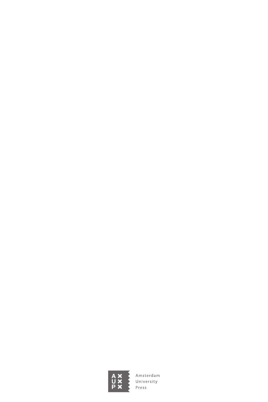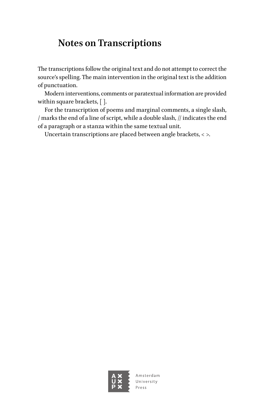## <span id="page-13-0"></span>**Notes on Transcriptions**

The transcriptions follow the original text and do not attempt to correct the source's spelling. The main intervention in the original text is the addition of punctuation.

Modern interventions, comments or paratextual information are provided within square brackets, [ ].

For the transcription of poems and marginal comments, a single slash, / marks the end of a line of script, while a double slash, // indicates the end of a paragraph or a stanza within the same textual unit.

Uncertain transcriptions are placed between angle brackets, < >.

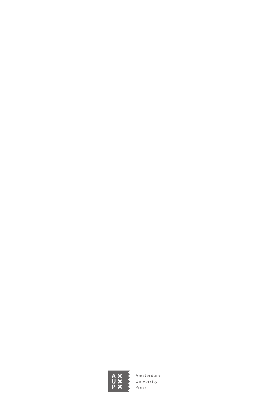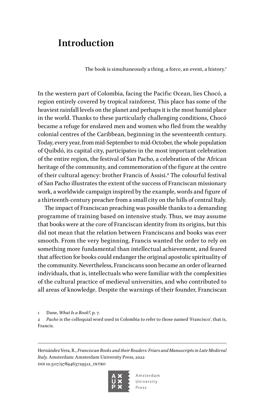### <span id="page-15-0"></span>**Introduction**

The book is simultaneously a thing, a force, an event, a history.<sup>1</sup>

In the western part of Colombia, facing the Pacific Ocean, lies Chocó, a region entirely covered by tropical rainforest. This place has some of the heaviest rainfall levels on the planet and perhaps it is the most humid place in the world. Thanks to these particularly challenging conditions, Chocó became a refuge for enslaved men and women who fled from the wealthy colonial centres of the Caribbean, beginning in the seventeenth century. Today, every year, from mid-September to mid-October, the whole population of Quibdó, its capital city, participates in the most important celebration of the entire region, the festival of San Pacho, a celebration of the African heritage of the community, and commemoration of the figure at the centre of their cultural agency: brother Francis of Assisi.<sup>2</sup> The colourful festival of San Pacho illustrates the extent of the success of Franciscan missionary work, a worldwide campaign inspired by the example, words and figure of a thirteenth-century preacher from a small city on the hills of central Italy.

The impact of Franciscan preaching was possible thanks to a demanding programme of training based on intensive study. Thus, we may assume that books were at the core of Franciscan identity from its origins, but this did not mean that the relation between Franciscans and books was ever smooth. From the very beginning, Francis wanted the order to rely on something more fundamental than intellectual achievement, and feared that affection for books could endanger the original apostolic spirituality of the community. Nevertheless, Franciscans soon became an order of learned individuals, that is, intellectuals who were familiar with the complexities of the cultural practice of medieval universities, and who contributed to all areas of knowledge. Despite the warnings of their founder, Franciscan

1 Dane, *What Is a Book?*, p. 7.

2 *Pacho* is the colloquial word used in Colombia to refer to those named 'Francisco', that is, Francis.

Hernández Vera, R., *Franciscan Books and their Readers: Friars and Manuscripts in Late Medieval Italy*. Amsterdam: Amsterdam University Press, 2022 DOI 10.5117/9789463729512\_INTRO

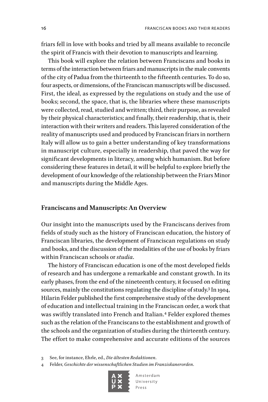friars fell in love with books and tried by all means available to reconcile the spirit of Francis with their devotion to manuscripts and learning.

This book will explore the relation between Franciscans and books in terms of the interaction between friars and manuscripts in the male convents of the city of Padua from the thirteenth to the fifteenth centuries. To do so, four aspects, or dimensions, of the Franciscan manuscripts will be discussed. First, the ideal, as expressed by the regulations on study and the use of books; second, the space, that is, the libraries where these manuscripts were collected, read, studied and written; third, their purpose, as revealed by their physical characteristics; and finally, their readership, that is, their interaction with their writers and readers. This layered consideration of the reality of manuscripts used and produced by Franciscan friars in northern Italy will allow us to gain a better understanding of key transformations in manuscript culture, especially in readership, that paved the way for significant developments in literacy, among which humanism. But before considering these features in detail, it will be helpful to explore briefly the development of our knowledge of the relationship between the Friars Minor and manuscripts during the Middle Ages.

#### **Franciscans and Manuscripts: An Overview**

Our insight into the manuscripts used by the Franciscans derives from fields of study such as the history of Franciscan education, the history of Franciscan libraries, the development of Franciscan regulations on study and books, and the discussion of the modalities of the use of books by friars within Franciscan schools or *studia*.

The history of Franciscan education is one of the most developed fields of research and has undergone a remarkable and constant growth. In its early phases, from the end of the nineteenth century, it focused on editing sources, mainly the constitutions regulating the discipline of study.3 In 1904, Hilarin Felder published the first comprehensive study of the development of education and intellectual training in the Franciscan order, a work that was swiftly translated into French and Italian.<sup>4</sup> Felder explored themes such as the relation of the Franciscans to the establishment and growth of the schools and the organization of studies during the thirteenth century. The effort to make comprehensive and accurate editions of the sources

3 See, for instance, Ehrle, ed., *Die ältesten Redaktionen*.

4 Felder, *Geschichte der wissenschaftlichen Studien im Franziskanerorden*.

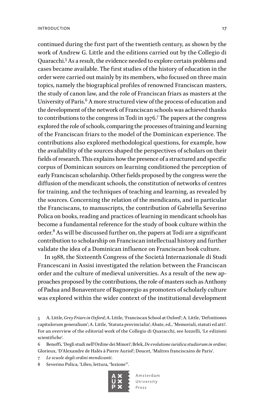continued during the first part of the twentieth century, as shown by the work of Andrew G. Little and the editions carried out by the Collegio di Quaracchi.5 As a result, the evidence needed to explore certain problems and cases became available. The first studies of the history of education in the order were carried out mainly by its members, who focused on three main topics, namely the biographical profiles of renowned Franciscan masters, the study of canon law, and the role of Franciscan friars as masters at the University of Paris.<sup>6</sup> A more structured view of the process of education and the development of the network of Franciscan schools was achieved thanks to contributions to the congress in Todi in 1976.7 The papers at the congress explored the role of schools, comparing the processes of training and learning of the Franciscan friars to the model of the Dominican experience. The contributions also explored methodological questions, for example, how the availability of the sources shaped the perspectives of scholars on their fields of research. This explains how the presence of a structured and specific corpus of Dominican sources on learning conditioned the perception of early Franciscan scholarship. Other fields proposed by the congress were the diffusion of the mendicant schools, the constitution of networks of centres for training, and the techniques of teaching and learning, as revealed by the sources. Concerning the relation of the mendicants, and in particular the Franciscans, to manuscripts, the contribution of Gabriella Severino Polica on books, reading and practices of learning in mendicant schools has become a fundamental reference for the study of book culture within the order.<sup>8</sup> As will be discussed further on, the papers at Todi are a significant contribution to scholarship on Franciscan intellectual history and further validate the idea of a Dominican influence on Franciscan book culture.

In 1988, the Sixteenth Congress of the Società Internazionale di Studi Francescani in Assisi investigated the relation between the Franciscan order and the culture of medieval universities. As a result of the new approaches proposed by the contributions, the role of masters such as Anthony of Padua and Bonaventure of Bagnoregio as promoters of scholarly culture was explored within the wider context of the institutional development

- 6 Benoffi, 'Degli studi nell'Ordine dei Minori'; Brlek, *De evolutione iuridica studiorum in ordine*; Glorieux, 'D'Alexandre de Halès à Pierre Auriol'; Doucet, 'Maîtres franciscains de Paris'.
- 7 *Le scuole degli ordini mendicanti*.
- 8 Severino Polica, 'Libro, lettura, "lezione"'.



<sup>5</sup> A. Little, *Grey Friars in Oxford*; A. Little, 'Franciscan School at Oxford'; A. Little, 'Definitiones capitulorum generalium'; A. Little, 'Statuta provincialia'; Abate, ed., 'Memoriali, statuti ed atti'. For an overview of the editorial work of the Collegio di Quaracchi, see Iozzelli, 'Le edizioni scientifiche'.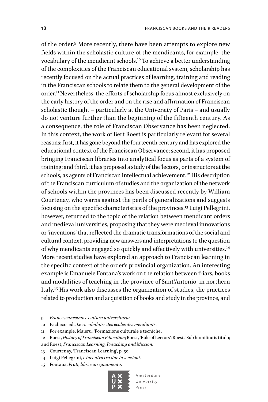of the order.9 More recently, there have been attempts to explore new fields within the scholastic culture of the mendicants, for example, the vocabulary of the mendicant schools.10 To achieve a better understanding of the complexities of the Franciscan educational system, scholarship has recently focused on the actual practices of learning, training and reading in the Franciscan schools to relate them to the general development of the order.11 Nevertheless, the efforts of scholarship focus almost exclusively on the early history of the order and on the rise and affirmation of Franciscan scholastic thought – particularly at the University of Paris – and usually do not venture further than the beginning of the fifteenth century. As a consequence, the role of Franciscan Observance has been neglected. In this context, the work of Bert Roest is particularly relevant for several reasons: first, it has gone beyond the fourteenth century and has explored the educational context of the Franciscan Observance; second, it has proposed bringing Franciscan libraries into analytical focus as parts of a system of training; and third, it has proposed a study of the 'lectors', or instructors at the schools, as agents of Franciscan intellectual achievement.<sup>12</sup> His description of the Franciscan curriculum of studies and the organization of the network of schools within the provinces has been discussed recently by William Courtenay, who warns against the perils of generalizations and suggests focusing on the specific characteristics of the provinces.13 Luigi Pellegrini, however, returned to the topic of the relation between mendicant orders and medieval universities, proposing that they were medieval innovations or 'inventions' that reflected the dramatic transformations of the social and cultural context, providing new answers and interpretations to the question of why mendicants engaged so quickly and effectively with universities.<sup>14</sup> More recent studies have explored an approach to Franciscan learning in the specific context of the order's provincial organization. An interesting example is Emanuele Fontana's work on the relation between friars, books and modalities of teaching in the province of Sant'Antonio, in northern Italy.15 His work also discusses the organization of studies, the practices related to production and acquisition of books and study in the province, and

- 9 *Francescanesimo e cultura universitaria*.
- 10 Pacheco, ed., *Le vocabulaire des écoles des mendiants*.
- 11 For example, Maierù, 'Formazione culturale e tecniche'.

- and Roest, *Franciscan Learning, Preaching and Mission*.
- 13 Courtenay, 'Franciscan Learning', p. 59.
- 14 Luigi Pellegrini, *L'Incontro tra due invenzioni*.
- 15 Fontana, *Frati, libri e insegnamento*.



<sup>12</sup> Roest, *History of Franciscan Education*; Roest, 'Role of Lectors'; Roest, 'Sub humilitatis titulo;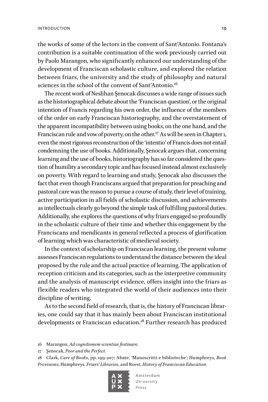the works of some of the lectors in the convent of Sant'Antonio. Fontana's contribution is a suitable continuation of the work previously carried out by Paolo Marangon, who significantly enhanced our understanding of the development of Franciscan scholastic culture, and explored the relation between friars, the university and the study of philosophy and natural sciences in the school of the convent of Sant'Antonio.<sup>16</sup>

The recent work of Neslihan Şenocak discusses a wide range of issues such as the historiographical debate about the 'Franciscan question', or the original intention of Francis regarding his own order, the influence of the members of the order on early Franciscan historiography, and the overstatement of the apparent incompatibility between using books, on the one hand, and the Franciscan rule and vow of poverty, on the other.<sup>17</sup> As will be seen in Chapter 1, even the most rigorous reconstruction of the 'intentio' of Francis does not entail condemning the use of books. Additionally, Şenocak argues that, concerning learning and the use of books, historiography has so far considered the question of humility a secondary topic and has focused instead almost exclusively on poverty. With regard to learning and study, Şenocak also discusses the fact that even though Franciscans argued that preparation for preaching and pastoral care was the reason to pursue a course of study, their level of training, active participation in all fields of scholastic discussion, and achievements as intellectuals clearly go beyond the simple task of fulfilling pastoral duties. Additionally, she explores the questions of why friars engaged so profoundly in the scholastic culture of their time and whether this engagement by the Franciscans and mendicants in general reflected a process of glorification of learning which was characteristic of medieval society.

In the context of scholarship on Franciscan learning, the present volume assesses Franciscan regulations to understand the distance between the ideal proposed by the rule and the actual practice of learning. The application of reception criticism and its categories, such as the interpretive community and the analysis of manuscript evidence, offers insight into the friars as flexible readers who integrated the world of their audiences into their discipline of writing.

As to the second field of research, that is, the history of Franciscan libraries, one could say that it has mainly been about Franciscan institutional developments or Franciscan education.<sup>18</sup> Further research has produced

<sup>18</sup> Clark, *Care of Books*, pp. 199-207; Abate, 'Manoscritti e biblioteche'; Humphreys, *Book Provisions*; Humphreys, *Friars' Libraries*, and Roest, *History of Franciscan Education*.



<sup>16</sup> Marangon, *Ad cognitionem scientiae festinare*.

<sup>17</sup> Şenocak, *Poor and the Perfect*.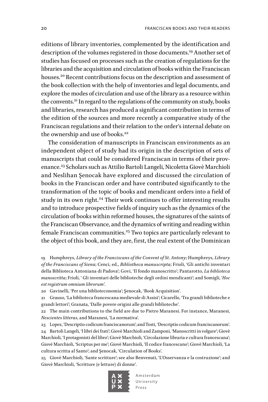editions of library inventories, complemented by the identification and description of the volumes registered in those documents.<sup>19</sup> Another set of studies has focused on processes such as the creation of regulations for the libraries and the acquisition and circulation of books within the Franciscan houses.<sup>20</sup> Recent contributions focus on the description and assessment of the book collection with the help of inventories and legal documents, and explore the modes of circulation and use of the library as a resource within the convents.<sup>21</sup> In regard to the regulations of the community on study, books and libraries, research has produced a significant contribution in terms of the edition of the sources and more recently a comparative study of the Franciscan regulations and their relation to the order's internal debate on the ownership and use of books.<sup>22</sup>

The consideration of manuscripts in Franciscan environments as an independent object of study had its origin in the description of sets of manuscripts that could be considered Franciscan in terms of their provenance.23 Scholars such as Attilio Bartoli Langeli, Nicoletta Giovè Marchioli and Neslihan Şenocak have explored and discussed the circulation of books in the Franciscan order and have contributed significantly to the transformation of the topic of books and mendicant orders into a field of study in its own right.<sup>24</sup> Their work continues to offer interesting results and to introduce prospective fields of inquiry such as the dynamics of the circulation of books within reformed houses, the signatures of the saints of the Franciscan Observance, and the dynamics of writing and reading within female Franciscan communities.<sup>25</sup> Two topics are particularly relevant to the object of this book, and they are, first, the real extent of the Dominican

19 Humphreys, *Library of the Franciscans of the Convent of St. Antony*; Humphreys, *Library of the Franciscans of Siena*; Cenci, ed., *Bibliotheca manuscripta*; Frioli, 'Gli antichi inventari della Biblioteca Antoniana di Padova'; Govi, 'Il fondo manoscritto'; Pantarotto, *La biblioteca manoscritta*; Frioli, ' Gli inventari delle biblioteche degli ordini mendicanti'; and Somigli, '*Hoc est registrum omnium librorum'*.

20 Gavinelli, 'Per una biblioteconomia'; Şenocak, 'Book Acquisition'.

21 Grauso, 'La biblioteca francescana medievale di Assisi'; Cicarello, 'Tra grandi biblioteche e grandi lettori'; Granata, 'Dalle povere origini alle grandi biblioteche'.

22 The main contributions to the field are due to Pietro Maranesi. For instance, Maranesi, *Nescientes litteras*, and Maranesi, 'La normativa'.

23 Lopez, 'Descriptio codicum franciscanorum'; and Tosti, 'Descriptio codicum franciscanorum'. 24 Bartoli Langeli, 'I libri dei frati'; Giovè Marchioli and Zamponi, 'Manoscritti in volgare'; Giovè Marchioli, 'I protagonisti del libro'; Giovè Marchioli, 'Circolazione libraria e cultura francescana'; Giovè Marchioli, 'Scriptus per me'; Giovè Marchioli, 'Il codice francescano'; Giovè Marchioli, 'La cultura scritta al Santo'; and Şenocak, 'Circulation of Books'.

25 Giovè Marchioli, 'Sante scritture'; see also Benvenuti, 'L'Osservanza e la costruzione'; and Giovè Marchioli, 'Scritture (e letture) di donne'.

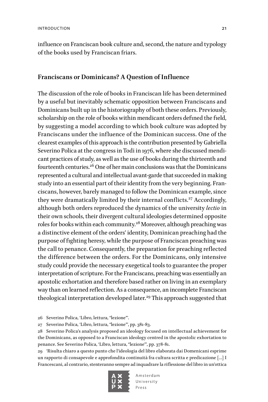influence on Franciscan book culture and, second, the nature and typology of the books used by Franciscan friars.

#### **Franciscans or Dominicans? A Question of Influence**

The discussion of the role of books in Franciscan life has been determined by a useful but inevitably schematic opposition between Franciscans and Dominicans built up in the historiography of both these orders. Previously, scholarship on the role of books within mendicant orders defined the field, by suggesting a model according to which book culture was adopted by Franciscans under the influence of the Dominican success. One of the clearest examples of this approach is the contribution presented by Gabriella Severino Polica at the congress in Todi in 1976, where she discussed mendicant practices of study, as well as the use of books during the thirteenth and fourteenth centuries.<sup>26</sup> One of her main conclusions was that the Dominicans represented a cultural and intellectual avant-garde that succeeded in making study into an essential part of their identity from the very beginning. Franciscans, however, barely managed to follow the Dominican example, since they were dramatically limited by their internal conflicts.<sup>27</sup> Accordingly, although both orders reproduced the dynamics of the university *lectio* in their own schools, their divergent cultural ideologies determined opposite roles for books within each community.28 Moreover, although preaching was a distinctive element of the orders' identity, Dominican preaching had the purpose of fighting heresy, while the purpose of Franciscan preaching was the call to penance. Consequently, the preparation for preaching reflected the difference between the orders. For the Dominicans, only intensive study could provide the necessary exegetical tools to guarantee the proper interpretation of scripture. For the Franciscans, preaching was essentially an apostolic exhortation and therefore based rather on living in an exemplary way than on learned reflection. As a consequence, an incomplete Franciscan theological interpretation developed later.<sup>29</sup> This approach suggested that

27 Severino Polica, 'Libro, lettura, "lezione"', pp. 381-83.

28 Severino Polica's analysis proposed an ideology focused on intellectual achievement for the Dominicans, as opposed to a Franciscan ideology centred in the apostolic exhortation to penance. See Severino Polica, 'Libro, lettura, "lezione"', pp. 378-81.

29 'Risulta chiaro a questo punto che l'ideologia del libro elaborata dai Domenicani esprime un rapporto di consapevole e approfondita continuità fra cultura scritta e predicazione […] I Francescani, al contrario, stenteranno sempre ad inquadrare la riflessione del libro in un'ottica



<sup>26</sup> Severino Polica, 'Libro, lettura, "lezione"'.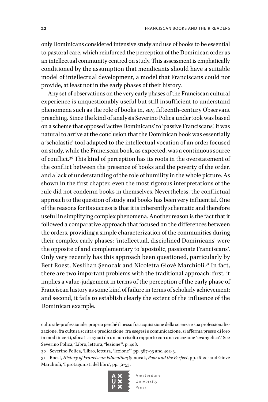only Dominicans considered intensive study and use of books to be essential to pastoral care, which reinforced the perception of the Dominican order as an intellectual community centred on study. This assessment is emphatically conditioned by the assumption that mendicants should have a suitable model of intellectual development, a model that Franciscans could not provide, at least not in the early phases of their history.

Any set of observations on the very early phases of the Franciscan cultural experience is unquestionably useful but still insufficient to understand phenomena such as the role of books in, say, fifteenth-century Observant preaching. Since the kind of analysis Severino Polica undertook was based on a scheme that opposed 'active Dominicans' to 'passive Franciscans', it was natural to arrive at the conclusion that the Dominican book was essentially a 'scholastic' tool adapted to the intellectual vocation of an order focused on study, while the Franciscan book, as expected, was a continuous source of conflict.30 This kind of perception has its roots in the overstatement of the conflict between the presence of books and the poverty of the order, and a lack of understanding of the role of humility in the whole picture. As shown in the first chapter, even the most rigorous interpretations of the rule did not condemn books in themselves. Nevertheless, the conflictual approach to the question of study and books has been very influential. One of the reasons for its success is that it is inherently schematic and therefore useful in simplifying complex phenomena. Another reason is the fact that it followed a comparative approach that focused on the differences between the orders, providing a simple characterization of the communities during their complex early phases: 'intellectual, disciplined Dominicans' were the opposite of and complementary to 'apostolic, passionate Franciscans'. Only very recently has this approach been questioned, particularly by Bert Roest, Neslihan Şenocak and Nicoletta Giovè Marchioli.31 In fact, there are two important problems with the traditional approach: first, it implies a value-judgement in terms of the perception of the early phase of Franciscan history as some kind of failure in terms of scholarly achievement; and second, it fails to establish clearly the extent of the influence of the Dominican example.

<sup>31</sup> Roest, *History of Franciscan Education*; Şenocak, *Poor and the Perfect*, pp. 16-20; and Giovè Marchioli, 'I protagonisti del libro', pp. 51-53.



culturale-professionale, proprio perché il nesso fra acquisizione della scienza e sua professionalizzazione, fra cultura scritta e predicazione, fra esegesi e comunicazione, si afferma presso di loro in modi incerti, sfocati, segnati da un non risolto rapporto con una vocazione "evangelica".' See Severino Polica, 'Libro, lettura, "lezione"', p. 408.

<sup>30</sup> Severino Polica, 'Libro, lettura, "lezione"', pp. 387-93 and 402-3.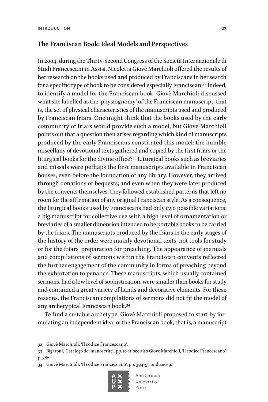#### **The Franciscan Book: Ideal Models and Perspectives**

In 2004, during the Thirty-Second Congress of the Società Internazionale di Studi Francescani in Assisi, Nicoletta Giovè Marchioli offered the results of her research on the books used and produced by Franciscans in her search for a specific type of book to be considered especially Franciscan.32 Indeed, to identify a model for the Franciscan book, Giovè Marchioli discussed what she labelled as the 'physiognomy' of the Franciscan manuscript, that is, the set of physical characteristics of the manuscripts used and produced by Franciscan friars. One might think that the books used by the early community of friars would provide such a model, but Giovè Marchioli points out that a question then arises regarding which kind of manuscripts produced by the early Franciscans constituted this model: the humble miscellany of devotional texts gathered and copied by the first friars or the liturgical books for the divine office?33 Liturgical books such as breviaries and missals were perhaps the first manuscripts available in Franciscan houses, even before the foundation of any library. However, they arrived through donations or bequests; and even when they were later produced by the convents themselves, they followed established patterns that left no room for the affirmation of any original Franciscan style. As a consequence, the liturgical books used by Franciscans had only two possible variations: a big manuscript for collective use with a high level of ornamentation or breviaries of a smaller dimension intended to be portable books to be carried by the friars. The manuscripts produced by the friars in the early stages of the history of the order were mainly devotional texts, not tools for study or for the friars' preparation for preaching. The appearance of manuals and compilations of sermons within the Franciscan convents reflected the further engagement of the community in forms of preaching beyond the exhortation to penance. These manuscripts, which usually contained sermons, had a low level of sophistication, were smaller than books for study and contained a great variety of hands and decorative elements. For these reasons, the Franciscan compilations of sermons did not fit the model of any archetypical Franciscan book.34

To find a suitable archetype, Giovè Marchioli proposed to start by formulating an independent ideal of the Franciscan book, that is, a manuscript

<sup>34</sup> Giovè Marchioli, 'Il codice Francescano', pp. 394-95 and 406-9.



<sup>32</sup> Giovè Marchioli, 'Il codice Francescano'.

<sup>33</sup> Bigaroni, 'Catalogo dei manoscritti', pp. 10-11; see also Giovè Marchioli, 'Il codice Francescano', p. 382.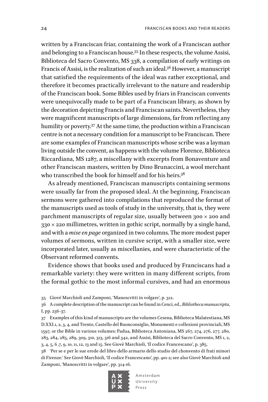written by a Franciscan friar, containing the work of a Franciscan author and belonging to a Franciscan house.35 In these respects, the volume Assisi, Biblioteca del Sacro Convento, MS 338, a compilation of early writings on Francis of Assisi, is the realization of such an ideal.36 However, a manuscript that satisfied the requirements of the ideal was rather exceptional, and therefore it becomes practically irrelevant to the nature and readership of the Franciscan book. Some Bibles used by friars in Franciscan convents were unequivocally made to be part of a Franciscan library, as shown by the decoration depicting Francis and Franciscan saints. Nevertheless, they were magnificent manuscripts of large dimensions, far from reflecting any humility or poverty.<sup>37</sup> At the same time, the production within a Franciscan centre is not a necessary condition for a manuscript to be Franciscan. There are some examples of Franciscan manuscripts whose scribe was a layman living outside the convent, as happens with the volume Florence, Biblioteca Riccardiana, MS 1287, a miscellany with excerpts from Bonaventure and other Franciscan masters, written by Dino Brunaccini, a wool merchant who transcribed the book for himself and for his heirs.<sup>38</sup>

As already mentioned, Franciscan manuscripts containing sermons were usually far from the proposed ideal. At the beginning, Franciscan sermons were gathered into compilations that reproduced the format of the manuscripts used as tools of study in the university, that is, they were parchment manuscripts of regular size, usually between 300 × 200 and  $330 \times 220$  millimetres, written in gothic script, normally by a single hand, and with a *mise en page* organized in two columns. The more modest paper volumes of sermons, written in cursive script, with a smaller size, were incorporated later, usually as miscellanies, and were characteristic of the Observant reformed convents.

Evidence shows that books used and produced by Franciscans had a remarkable variety: they were written in many different scripts, from the formal gothic to the most informal cursives, and had an enormous

35 Giovè Marchioli and Zamponi, 'Manoscritti in volgare', p. 312.

38 'Per se e per le sue erede del libro dello armario dello studio del chonvento di frati minori di Firenze.' See Giovè Marchioli, 'Il codice Francescano', pp. 401-2; see also Giovè Marchioli and Zamponi, 'Manoscritti in volgare', pp. 314-16.



<sup>36</sup> A complete description of the manuscript can be found in Cenci, ed., *Bibliotheca manuscripta*, I, pp. 236-37.

<sup>37</sup> Examples of this kind of manuscripts are the volumes Cesena, Biblioteca Malatestiana, MS D.XXI.1, 2, 3, 4, and Trento, Castello del Buonconsiglio, Monumenti e collezioni provinciali, MS 1597, or the Bible in various volumes: Padua, Biblioteca Antoniana, MS 267, 274, 276, 277, 280, 283, 284, 285, 289, 309, 310, 313, 316 and 342, and Assisi, Biblioteca del Sacro Convento, MS 1, 2, 3, 4, 5, 6 ,7, 9, 10, 11, 12, 13 and 15. See Giovè Marchioli, 'Il codice Francescano', p. 385.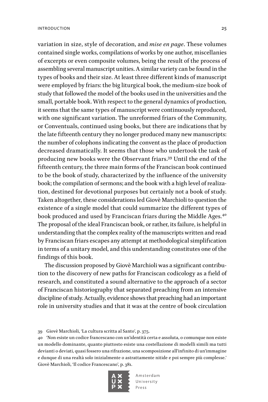variation in size, style of decoration, and *mise en page*. These volumes contained single works, compilations of works by one author, miscellanies of excerpts or even composite volumes, being the result of the process of assembling several manuscript unities. A similar variety can be found in the types of books and their size. At least three different kinds of manuscript were employed by friars: the big liturgical book, the medium-size book of study that followed the model of the books used in the universities and the small, portable book. With respect to the general dynamics of production, it seems that the same types of manuscript were continuously reproduced, with one significant variation. The unreformed friars of the Community, or Conventuals, continued using books, but there are indications that by

the late fifteenth century they no longer produced many new manuscripts: the number of colophons indicating the convent as the place of production decreased dramatically. It seems that those who undertook the task of producing new books were the Observant friars.39 Until the end of the fifteenth century, the three main forms of the Franciscan book continued to be the book of study, characterized by the influence of the university book; the compilation of sermons; and the book with a high level of realization, destined for devotional purposes but certainly not a book of study. Taken altogether, these considerations led Giovè Marchioli to question the existence of a single model that could summarize the different types of book produced and used by Franciscan friars during the Middle Ages.<sup>40</sup> The proposal of the ideal Franciscan book, or rather, its failure, is helpful in understanding that the complex reality of the manuscripts written and read by Franciscan friars escapes any attempt at methodological simplification in terms of a unitary model, and this understanding constitutes one of the findings of this book.

The discussion proposed by Giovè Marchioli was a significant contribution to the discovery of new paths for Franciscan codicology as a field of research, and constituted a sound alternative to the approach of a sector of Franciscan historiography that separated preaching from an intensive discipline of study. Actually, evidence shows that preaching had an important role in university studies and that it was at the centre of book circulation

<sup>40</sup> 'Non esiste un codice francescano con un'identità certa e assoluta, o comunque non esiste un modello dominante, quanto piuttosto esiste una costellazione di modelli simili ma tutti devianti o deviati, quasi fossero una rifrazione, una scomposizione all'infinito di un'immagine e dunque di una realtà solo inizialmente o astrattamente nitide e poi sempre più complesse.' Giovè Marchioli, 'Il codice Francescano', p. 381.



<sup>39</sup> Giovè Marchioli, 'La cultura scritta al Santo', p. 375.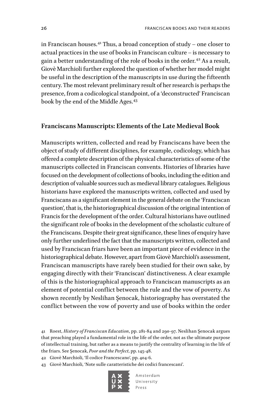in Franciscan houses.41 Thus, a broad conception of study – one closer to actual practices in the use of books in Franciscan culture – is necessary to gain a better understanding of the role of books in the order.<sup>42</sup> As a result, Giovè Marchioli further explored the question of whether her model might be useful in the description of the manuscripts in use during the fifteenth century. The most relevant preliminary result of her research is perhaps the presence, from a codicological standpoint, of a 'deconstructed' Franciscan book by the end of the Middle Ages.<sup>43</sup>

#### **Franciscans Manuscripts: Elements of the Late Medieval Book**

Manuscripts written, collected and read by Franciscans have been the object of study of different disciplines, for example, codicology, which has offered a complete description of the physical characteristics of some of the manuscripts collected in Franciscan convents. Histories of libraries have focused on the development of collections of books, including the edition and description of valuable sources such as medieval library catalogues. Religious historians have explored the manuscripts written, collected and used by Franciscans as a significant element in the general debate on the 'Franciscan question', that is, the historiographical discussion of the original intention of Francis for the development of the order. Cultural historians have outlined the significant role of books in the development of the scholastic culture of the Franciscans. Despite their great significance, these lines of enquiry have only further underlined the fact that the manuscripts written, collected and used by Franciscan friars have been an important piece of evidence in the historiographical debate. However, apart from Giovè Marchioli's assessment, Franciscan manuscripts have rarely been studied for their own sake, by engaging directly with their 'Franciscan' distinctiveness. A clear example of this is the historiographical approach to Franciscan manuscripts as an element of potential conflict between the rule and the vow of poverty. As shown recently by Neslihan Şenocak, historiography has overstated the conflict between the vow of poverty and use of books within the order

42 Giovè Marchioli, 'Il codice Francescano', pp. 404-6.

43 Giovè Marchioli, 'Note sulle caratteristiche dei codici francescani'.



<sup>41</sup> Roest, *History of Franciscan Education*, pp. 281-84 and 290-97. Neslihan Şenocak argues that preaching played a fundamental role in the life of the order, not as the ultimate purpose of intellectual training, but rather as a means to justify the centrality of learning in the life of the friars. See Şenocak, *Poor and the Perfect*, pp. 145-48.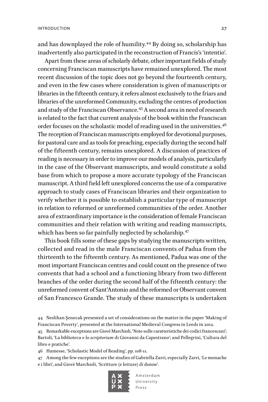and has downplayed the role of humility.44 By doing so, scholarship has inadvertently also participated in the reconstruction of Francis's 'intentio'.

Apart from these areas of scholarly debate, other important fields of study concerning Franciscan manuscripts have remained unexplored. The most recent discussion of the topic does not go beyond the fourteenth century, and even in the few cases where consideration is given of manuscripts or libraries in the fifteenth century, it refers almost exclusively to the friars and libraries of the unreformed Community, excluding the centres of production and study of the Franciscan Observance.45 A second area in need of research is related to the fact that current analysis of the book within the Franciscan order focuses on the scholastic model of reading used in the universities.<sup>46</sup> The reception of Franciscan manuscripts employed for devotional purposes, for pastoral care and as tools for preaching, especially during the second half of the fifteenth century, remains unexplored. A discussion of practices of reading is necessary in order to improve our models of analysis, particularly in the case of the Observant manuscripts, and would constitute a solid base from which to propose a more accurate typology of the Franciscan manuscript. A third field left unexplored concerns the use of a comparative approach to study cases of Franciscan libraries and their organization to verify whether it is possible to establish a particular type of manuscript in relation to reformed or unreformed communities of the order. Another area of extraordinary importance is the consideration of female Franciscan communities and their relation with writing and reading manuscripts, which has been so far painfully neglected by scholarship.<sup>47</sup>

This book fills some of these gaps by studying the manuscripts written, collected and read in the male Franciscan convents of Padua from the thirteenth to the fifteenth century. As mentioned, Padua was one of the most important Franciscan centres and could count on the presence of two convents that had a school and a functioning library from two different branches of the order during the second half of the fifteenth century: the unreformed convent of Sant'Antonio and the reformed or Observant convent of San Francesco Grande. The study of these manuscripts is undertaken

44 Neslihan Şenocak presented a set of considerations on the matter in the paper 'Making of Franciscan Poverty', presented at the International Medieval Congress in Leeds in 2012.

45 Remarkable exceptions are Giovè Marchioli, 'Note sulle caratteristiche dei codici francescani'; Bartoli, 'La biblioteca e lo *scriptorium* di Giovanni da Capestrano'; and Pellegrini, 'Cultura del libro e pratiche'.

46 Hamesse, 'Scholastic Model of Reading', pp. 108-11.

47 Among the few exceptions are the studies of Gabriella Zarri, especially Zarri, 'Le monache e i libri', and Giovè Marchioli, 'Scritture (e letture) di donne'.

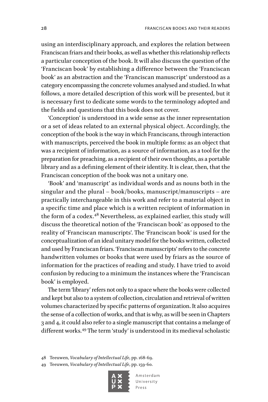using an interdisciplinary approach, and explores the relation between Franciscan friars and their books, as well as whether this relationship reflects a particular conception of the book. It will also discuss the question of the 'Franciscan book' by establishing a difference between the 'Franciscan book' as an abstraction and the 'Franciscan manuscript' understood as a category encompassing the concrete volumes analysed and studied. In what follows, a more detailed description of this work will be presented, but it is necessary first to dedicate some words to the terminology adopted and the fields and questions that this book does not cover.

'Conception' is understood in a wide sense as the inner representation or a set of ideas related to an external physical object. Accordingly, the conception of the book is the way in which Franciscans, through interaction with manuscripts, perceived the book in multiple forms: as an object that was a recipient of information, as a source of information, as a tool for the preparation for preaching, as a recipient of their own thoughts, as a portable library and as a defining element of their identity. It is clear, then, that the Franciscan conception of the book was not a unitary one.

'Book' and 'manuscript' as individual words and as nouns both in the singular and the plural – book/books, manuscript/manuscripts – are practically interchangeable in this work and refer to a material object in a specific time and place which is a written recipient of information in the form of a codex.<sup>48</sup> Nevertheless, as explained earlier, this study will discuss the theoretical notion of the 'Franciscan book' as opposed to the reality of 'Franciscan manuscripts'. The 'Franciscan book' is used for the conceptualization of an ideal unitary model for the books written, collected and used by Franciscan friars. 'Franciscan manuscripts' refers to the concrete handwritten volumes or books that were used by friars as the source of information for the practices of reading and study. I have tried to avoid confusion by reducing to a minimum the instances where the 'Franciscan book' is employed.

The term 'library' refers not only to a space where the books were collected and kept but also to a system of collection, circulation and retrieval of written volumes characterized by specific patterns of organization. It also acquires the sense of a collection of works, and that is why, as will be seen in Chapters 3 and 4, it could also refer to a single manuscript that contains a melange of different works.49 The term 'study' is understood in its medieval scholastic

48 Teeuwen, *Vocabulary of Intellectual Life*, pp. 168-69.

49 Teeuwen, *Vocabulary of Intellectual Life*, pp. 159-60.

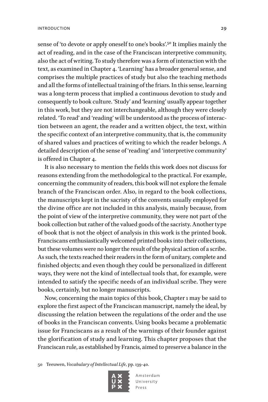sense of 'to devote or apply oneself to one's books'.<sup>50</sup> It implies mainly the act of reading, and in the case of the Franciscan interpretive community, also the act of writing. To study therefore was a form of interaction with the text, as examined in Chapter 4. 'Learning' has a broader general sense, and comprises the multiple practices of study but also the teaching methods and all the forms of intellectual training of the friars. In this sense, learning was a long-term process that implied a continuous devotion to study and consequently to book culture. 'Study' and 'learning' usually appear together in this work, but they are not interchangeable, although they were closely related. 'To read' and 'reading' will be understood as the process of interaction between an agent, the reader and a written object, the text, within the specific context of an interpretive community, that is, the community of shared values and practices of writing to which the reader belongs. A detailed description of the sense of 'reading' and 'interpretive community' is offered in Chapter 4.

It is also necessary to mention the fields this work does not discuss for reasons extending from the methodological to the practical. For example, concerning the community of readers, this book will not explore the female branch of the Franciscan order. Also, in regard to the book collections, the manuscripts kept in the sacristy of the convents usually employed for the divine office are not included in this analysis, mainly because, from the point of view of the interpretive community, they were not part of the book collection but rather of the valued goods of the sacristy. Another type of book that is not the object of analysis in this work is the printed book. Franciscans enthusiastically welcomed printed books into their collections, but these volumes were no longer the result of the physical action of a scribe. As such, the texts reached their readers in the form of unitary, complete and finished objects; and even though they could be personalized in different ways, they were not the kind of intellectual tools that, for example, were intended to satisfy the specific needs of an individual scribe. They were books, certainly, but no longer manuscripts.

Now, concerning the main topics of this book, Chapter 1 may be said to explore the first aspect of the Franciscan manuscript, namely the ideal, by discussing the relation between the regulations of the order and the use of books in the Franciscan convents. Using books became a problematic issue for Franciscans as a result of the warnings of their founder against the glorification of study and learning. This chapter proposes that the Franciscan rule, as established by Francis, aimed to preserve a balance in the

50 Teeuwen, *Vocabulary of Intellectual Life*, pp. 139-40.

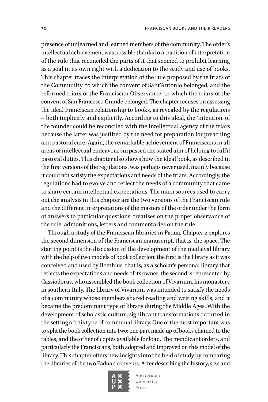presence of unlearned and learned members of the community. The order's intellectual achievement was possible thanks to a tradition of interpretation of the rule that reconciled the parts of it that seemed to prohibit learning as a goal in its own right with a dedication to the study and use of books. This chapter traces the interpretation of the rule proposed by the friars of the Community, to which the convent of Sant'Antonio belonged, and the reformed friars of the Franciscan Observance, to which the friars of the convent of San Francesco Grande belonged. The chapter focuses on assessing the ideal Franciscan relationship to books, as revealed by the regulations – both implicitly and explicitly. According to this ideal, the 'intention' of the founder could be reconciled with the intellectual agency of the friars because the latter was justified by the need for preparation for preaching and pastoral care. Again, the remarkable achievement of Franciscans in all areas of intellectual endeavour surpassed the stated aim of helping to fulfil pastoral duties. This chapter also shows how the ideal book, as described in the first versions of the regulations, was perhaps never used, mainly because it could not satisfy the expectations and needs of the friars. Accordingly, the regulations had to evolve and reflect the needs of a community that came to share certain intellectual expectations. The main sources used to carry out the analysis in this chapter are the two versions of the Franciscan rule and the different interpretations of the masters of the order under the form of answers to particular questions, treatises on the proper observance of the rule, admonitions, letters and commentaries on the rule.

Through a study of the Franciscan libraries in Padua, Chapter 2 explores the second dimension of the Franciscan manuscript, that is, the space. The starting point is the discussion of the development of the medieval library with the help of two models of book collection: the first is the library as it was conceived and used by Boethius, that is, as a scholar's personal library that reflects the expectations and needs of its owner; the second is represented by Cassiodorus, who assembled the book collection of Vivarium, his monastery in southern Italy. The library of Vivarium was intended to satisfy the needs of a community whose members shared reading and writing skills, and it became the predominant type of library during the Middle Ages. With the development of scholastic culture, significant transformations occurred in the setting of this type of communal library. One of the most important was to split the book collection into two: one part made up of books chained to the tables, and the other of copies available for loan. The mendicant orders, and particularly the Franciscans, both adopted and improved on this model of the library. This chapter offers new insights into the field of study by comparing the libraries of the two Paduan convents. After describing the history, size and

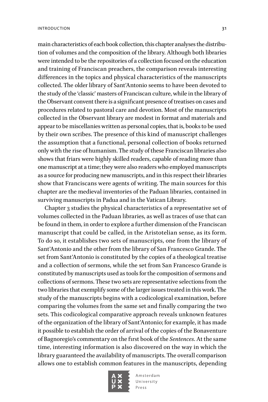main characteristics of each book collection, this chapter analyses the distribution of volumes and the composition of the library. Although both libraries were intended to be the repositories of a collection focused on the education and training of Franciscan preachers, the comparison reveals interesting differences in the topics and physical characteristics of the manuscripts collected. The older library of Sant'Antonio seems to have been devoted to the study of the 'classic' masters of Franciscan culture, while in the library of the Observant convent there is a significant presence of treatises on cases and procedures related to pastoral care and devotion. Most of the manuscripts collected in the Observant library are modest in format and materials and appear to be miscellanies written as personal copies, that is, books to be used by their own scribes. The presence of this kind of manuscript challenges the assumption that a functional, personal collection of books returned only with the rise of humanism. The study of these Franciscan libraries also shows that friars were highly skilled readers, capable of reading more than one manuscript at a time; they were also readers who employed manuscripts as a source for producing new manuscripts, and in this respect their libraries show that Franciscans were agents of writing. The main sources for this chapter are the medieval inventories of the Paduan libraries, contained in surviving manuscripts in Padua and in the Vatican Library.

Chapter 3 studies the physical characteristics of a representative set of volumes collected in the Paduan libraries, as well as traces of use that can be found in them, in order to explore a further dimension of the Franciscan manuscript that could be called, in the Aristotelian sense, as its form. To do so, it establishes two sets of manuscripts, one from the library of Sant'Antonio and the other from the library of San Francesco Grande. The set from Sant'Antonio is constituted by the copies of a theological treatise and a collection of sermons, while the set from San Francesco Grande is constituted by manuscripts used as tools for the composition of sermons and collections of sermons. These two sets are representative selections from the two libraries that exemplify some of the larger issues treated in this work. The study of the manuscripts begins with a codicological examination, before comparing the volumes from the same set and finally comparing the two sets. This codicological comparative approach reveals unknown features of the organization of the library of Sant'Antonio; for example, it has made it possible to establish the order of arrival of the copies of the Bonaventure of Bagnoregio's commentary on the first book of the *Sentences*. At the same time, interesting information is also discovered on the way in which the library guaranteed the availability of manuscripts. The overall comparison allows one to establish common features in the manuscripts, depending